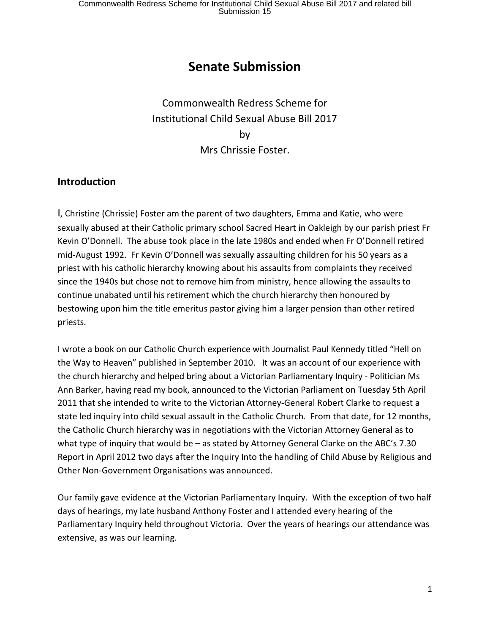# **Senate Submission**

Commonwealth Redress Scheme for Institutional Child Sexual Abuse Bill 2017 by Mrs Chrissie Foster.

## **Introduction**

I, Christine (Chrissie) Foster am the parent of two daughters, Emma and Katie, who were sexually abused at their Catholic primary school Sacred Heart in Oakleigh by our parish priest Fr Kevin O'Donnell. The abuse took place in the late 1980s and ended when Fr O'Donnell retired mid-August 1992. Fr Kevin O'Donnell was sexually assaulting children for his 50 years as a priest with his catholic hierarchy knowing about his assaults from complaints they received since the 1940s but chose not to remove him from ministry, hence allowing the assaults to continue unabated until his retirement which the church hierarchy then honoured by bestowing upon him the title emeritus pastor giving him a larger pension than other retired priests.

I wrote a book on our Catholic Church experience with Journalist Paul Kennedy titled "Hell on the Way to Heaven" published in September 2010. It was an account of our experience with the church hierarchy and helped bring about a Victorian Parliamentary Inquiry - Politician Ms Ann Barker, having read my book, announced to the Victorian Parliament on Tuesday 5th April 2011 that she intended to write to the Victorian Attorney-General Robert Clarke to request a state led inquiry into child sexual assault in the Catholic Church. From that date, for 12 months, the Catholic Church hierarchy was in negotiations with the Victorian Attorney General as to what type of inquiry that would be – as stated by Attorney General Clarke on the ABC's 7.30 Report in April 2012 two days after the Inquiry Into the handling of Child Abuse by Religious and Other Non-Government Organisations was announced.

Our family gave evidence at the Victorian Parliamentary Inquiry. With the exception of two half days of hearings, my late husband Anthony Foster and I attended every hearing of the Parliamentary Inquiry held throughout Victoria. Over the years of hearings our attendance was extensive, as was our learning.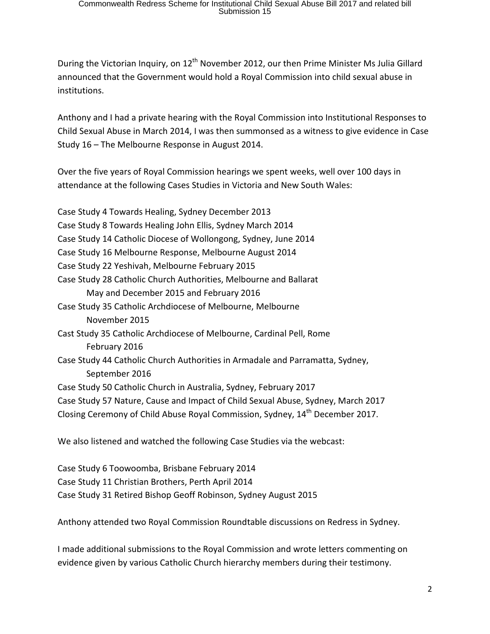During the Victorian Inquiry, on  $12<sup>th</sup>$  November 2012, our then Prime Minister Ms Julia Gillard announced that the Government would hold a Royal Commission into child sexual abuse in institutions.

Anthony and I had a private hearing with the Royal Commission into Institutional Responses to Child Sexual Abuse in March 2014, I was then summonsed as a witness to give evidence in Case Study 16 – The Melbourne Response in August 2014.

Over the five years of Royal Commission hearings we spent weeks, well over 100 days in attendance at the following Cases Studies in Victoria and New South Wales:

Case Study 4 Towards Healing, Sydney December 2013 Case Study 8 Towards Healing John Ellis, Sydney March 2014 Case Study 14 Catholic Diocese of Wollongong, Sydney, June 2014 Case Study 16 Melbourne Response, Melbourne August 2014 Case Study 22 Yeshivah, Melbourne February 2015 Case Study 28 Catholic Church Authorities, Melbourne and Ballarat May and December 2015 and February 2016 Case Study 35 Catholic Archdiocese of Melbourne, Melbourne November 2015 Cast Study 35 Catholic Archdiocese of Melbourne, Cardinal Pell, Rome February 2016 Case Study 44 Catholic Church Authorities in Armadale and Parramatta, Sydney, September 2016 Case Study 50 Catholic Church in Australia, Sydney, February 2017 Case Study 57 Nature, Cause and Impact of Child Sexual Abuse, Sydney, March 2017 Closing Ceremony of Child Abuse Royal Commission, Sydney, 14<sup>th</sup> December 2017.

We also listened and watched the following Case Studies via the webcast:

Case Study 6 Toowoomba, Brisbane February 2014 Case Study 11 Christian Brothers, Perth April 2014 Case Study 31 Retired Bishop Geoff Robinson, Sydney August 2015

Anthony attended two Royal Commission Roundtable discussions on Redress in Sydney.

I made additional submissions to the Royal Commission and wrote letters commenting on evidence given by various Catholic Church hierarchy members during their testimony.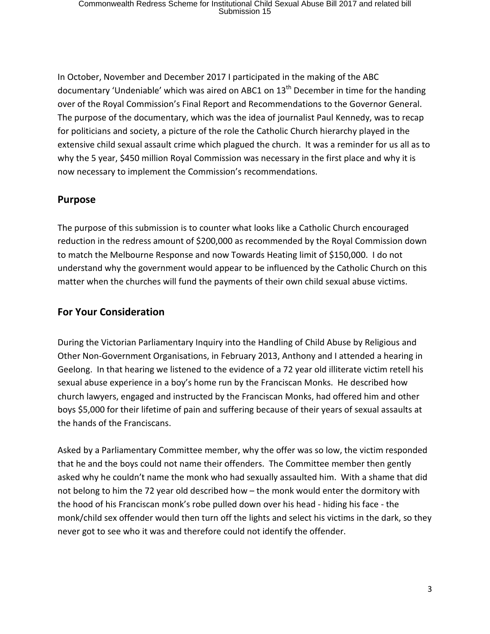In October, November and December 2017 I participated in the making of the ABC documentary 'Undeniable' which was aired on ABC1 on  $13<sup>th</sup>$  December in time for the handing over of the Royal Commission's Final Report and Recommendations to the Governor General. The purpose of the documentary, which was the idea of journalist Paul Kennedy, was to recap for politicians and society, a picture of the role the Catholic Church hierarchy played in the extensive child sexual assault crime which plagued the church. It was a reminder for us all as to why the 5 year, \$450 million Royal Commission was necessary in the first place and why it is now necessary to implement the Commission's recommendations.

#### **Purpose**

The purpose of this submission is to counter what looks like a Catholic Church encouraged reduction in the redress amount of \$200,000 as recommended by the Royal Commission down to match the Melbourne Response and now Towards Heating limit of \$150,000. I do not understand why the government would appear to be influenced by the Catholic Church on this matter when the churches will fund the payments of their own child sexual abuse victims.

### **For Your Consideration**

During the Victorian Parliamentary Inquiry into the Handling of Child Abuse by Religious and Other Non-Government Organisations, in February 2013, Anthony and I attended a hearing in Geelong. In that hearing we listened to the evidence of a 72 year old illiterate victim retell his sexual abuse experience in a boy's home run by the Franciscan Monks. He described how church lawyers, engaged and instructed by the Franciscan Monks, had offered him and other boys \$5,000 for their lifetime of pain and suffering because of their years of sexual assaults at the hands of the Franciscans.

Asked by a Parliamentary Committee member, why the offer was so low, the victim responded that he and the boys could not name their offenders. The Committee member then gently asked why he couldn't name the monk who had sexually assaulted him. With a shame that did not belong to him the 72 year old described how – the monk would enter the dormitory with the hood of his Franciscan monk's robe pulled down over his head - hiding his face - the monk/child sex offender would then turn off the lights and select his victims in the dark, so they never got to see who it was and therefore could not identify the offender.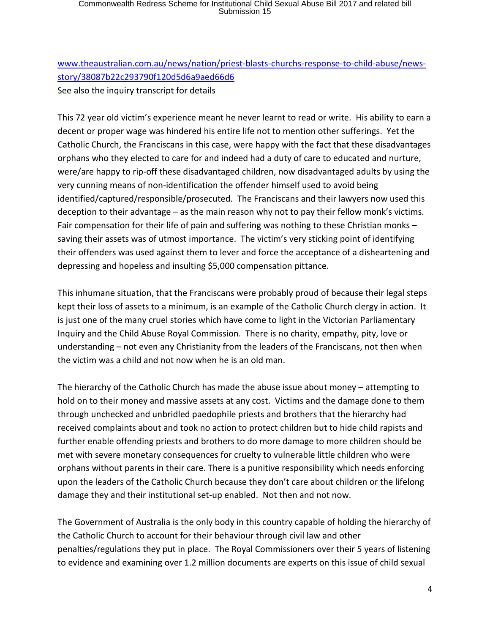[www.theaustralian.com.au/news/nation/priest-blasts-churchs-response-to-child-abuse/news](http://www.theaustralian.com.au/news/nation/priest-blasts-churchs-response-to-child-abuse/news-story/38087b22c293790f120d5d6a9aed66d6)[story/38087b22c293790f120d5d6a9aed66d6](http://www.theaustralian.com.au/news/nation/priest-blasts-churchs-response-to-child-abuse/news-story/38087b22c293790f120d5d6a9aed66d6) See also the inquiry transcript for details

This 72 year old victim's experience meant he never learnt to read or write. His ability to earn a decent or proper wage was hindered his entire life not to mention other sufferings. Yet the Catholic Church, the Franciscans in this case, were happy with the fact that these disadvantages orphans who they elected to care for and indeed had a duty of care to educated and nurture, were/are happy to rip-off these disadvantaged children, now disadvantaged adults by using the very cunning means of non-identification the offender himself used to avoid being identified/captured/responsible/prosecuted. The Franciscans and their lawyers now used this deception to their advantage – as the main reason why not to pay their fellow monk's victims. Fair compensation for their life of pain and suffering was nothing to these Christian monks – saving their assets was of utmost importance. The victim's very sticking point of identifying their offenders was used against them to lever and force the acceptance of a disheartening and depressing and hopeless and insulting \$5,000 compensation pittance.

This inhumane situation, that the Franciscans were probably proud of because their legal steps kept their loss of assets to a minimum, is an example of the Catholic Church clergy in action. It is just one of the many cruel stories which have come to light in the Victorian Parliamentary Inquiry and the Child Abuse Royal Commission. There is no charity, empathy, pity, love or understanding – not even any Christianity from the leaders of the Franciscans, not then when the victim was a child and not now when he is an old man.

The hierarchy of the Catholic Church has made the abuse issue about money – attempting to hold on to their money and massive assets at any cost. Victims and the damage done to them through unchecked and unbridled paedophile priests and brothers that the hierarchy had received complaints about and took no action to protect children but to hide child rapists and further enable offending priests and brothers to do more damage to more children should be met with severe monetary consequences for cruelty to vulnerable little children who were orphans without parents in their care. There is a punitive responsibility which needs enforcing upon the leaders of the Catholic Church because they don't care about children or the lifelong damage they and their institutional set-up enabled. Not then and not now.

The Government of Australia is the only body in this country capable of holding the hierarchy of the Catholic Church to account for their behaviour through civil law and other penalties/regulations they put in place. The Royal Commissioners over their 5 years of listening to evidence and examining over 1.2 million documents are experts on this issue of child sexual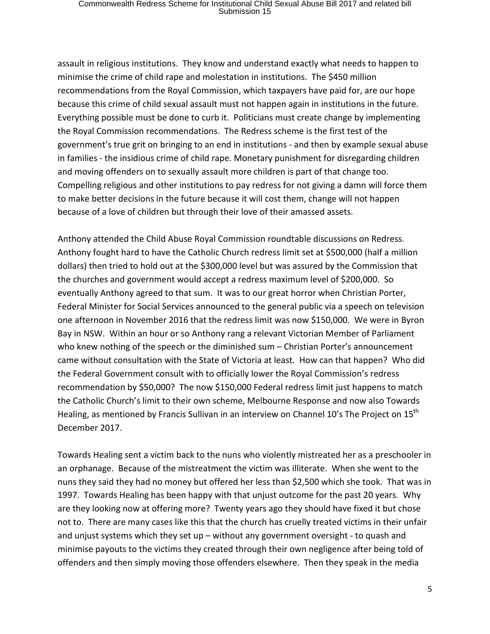assault in religious institutions. They know and understand exactly what needs to happen to minimise the crime of child rape and molestation in institutions. The \$450 million recommendations from the Royal Commission, which taxpayers have paid for, are our hope because this crime of child sexual assault must not happen again in institutions in the future. Everything possible must be done to curb it. Politicians must create change by implementing the Royal Commission recommendations. The Redress scheme is the first test of the government's true grit on bringing to an end in institutions - and then by example sexual abuse in families - the insidious crime of child rape. Monetary punishment for disregarding children and moving offenders on to sexually assault more children is part of that change too. Compelling religious and other institutions to pay redress for not giving a damn will force them to make better decisions in the future because it will cost them, change will not happen because of a love of children but through their love of their amassed assets.

Anthony attended the Child Abuse Royal Commission roundtable discussions on Redress. Anthony fought hard to have the Catholic Church redress limit set at \$500,000 (half a million dollars) then tried to hold out at the \$300,000 level but was assured by the Commission that the churches and government would accept a redress maximum level of \$200,000. So eventually Anthony agreed to that sum. It was to our great horror when Christian Porter, Federal Minister for Social Services announced to the general public via a speech on television one afternoon in November 2016 that the redress limit was now \$150,000. We were in Byron Bay in NSW. Within an hour or so Anthony rang a relevant Victorian Member of Parliament who knew nothing of the speech or the diminished sum – Christian Porter's announcement came without consultation with the State of Victoria at least. How can that happen? Who did the Federal Government consult with to officially lower the Royal Commission's redress recommendation by \$50,000? The now \$150,000 Federal redress limit just happens to match the Catholic Church's limit to their own scheme, Melbourne Response and now also Towards Healing, as mentioned by Francis Sullivan in an interview on Channel 10's The Project on 15<sup>th</sup> December 2017.

Towards Healing sent a victim back to the nuns who violently mistreated her as a preschooler in an orphanage. Because of the mistreatment the victim was illiterate. When she went to the nuns they said they had no money but offered her less than \$2,500 which she took. That was in 1997. Towards Healing has been happy with that unjust outcome for the past 20 years. Why are they looking now at offering more? Twenty years ago they should have fixed it but chose not to. There are many cases like this that the church has cruelly treated victims in their unfair and unjust systems which they set up – without any government oversight - to quash and minimise payouts to the victims they created through their own negligence after being told of offenders and then simply moving those offenders elsewhere. Then they speak in the media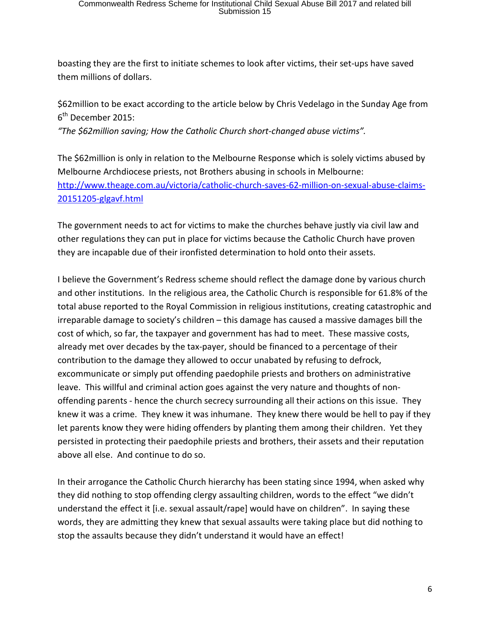boasting they are the first to initiate schemes to look after victims, their set-ups have saved them millions of dollars.

\$62million to be exact according to the article below by Chris Vedelago in the Sunday Age from 6<sup>th</sup> December 2015:

*"The \$62million saving; How the Catholic Church short-changed abuse victims".* 

The \$62million is only in relation to the Melbourne Response which is solely victims abused by Melbourne Archdiocese priests, not Brothers abusing in schools in Melbourne: [http://www.theage.com.au/victoria/catholic-church-saves-62-million-on-sexual-abuse-claims-](http://www.theage.com.au/victoria/catholic-church-saves-62-million-on-sexual-abuse-claims-20151205-glgavf.html)[20151205-glgavf.html](http://www.theage.com.au/victoria/catholic-church-saves-62-million-on-sexual-abuse-claims-20151205-glgavf.html)

The government needs to act for victims to make the churches behave justly via civil law and other regulations they can put in place for victims because the Catholic Church have proven they are incapable due of their ironfisted determination to hold onto their assets.

I believe the Government's Redress scheme should reflect the damage done by various church and other institutions. In the religious area, the Catholic Church is responsible for 61.8% of the total abuse reported to the Royal Commission in religious institutions, creating catastrophic and irreparable damage to society's children – this damage has caused a massive damages bill the cost of which, so far, the taxpayer and government has had to meet. These massive costs, already met over decades by the tax-payer, should be financed to a percentage of their contribution to the damage they allowed to occur unabated by refusing to defrock, excommunicate or simply put offending paedophile priests and brothers on administrative leave. This willful and criminal action goes against the very nature and thoughts of nonoffending parents - hence the church secrecy surrounding all their actions on this issue. They knew it was a crime. They knew it was inhumane. They knew there would be hell to pay if they let parents know they were hiding offenders by planting them among their children. Yet they persisted in protecting their paedophile priests and brothers, their assets and their reputation above all else. And continue to do so.

In their arrogance the Catholic Church hierarchy has been stating since 1994, when asked why they did nothing to stop offending clergy assaulting children, words to the effect "we didn't understand the effect it [i.e. sexual assault/rape] would have on children". In saying these words, they are admitting they knew that sexual assaults were taking place but did nothing to stop the assaults because they didn't understand it would have an effect!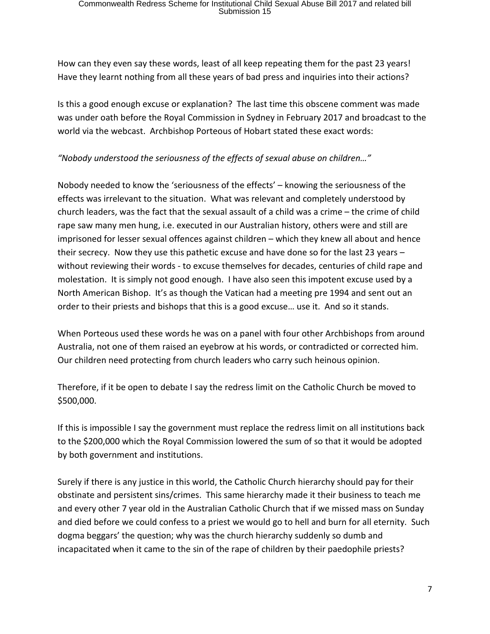How can they even say these words, least of all keep repeating them for the past 23 years! Have they learnt nothing from all these years of bad press and inquiries into their actions?

Is this a good enough excuse or explanation? The last time this obscene comment was made was under oath before the Royal Commission in Sydney in February 2017 and broadcast to the world via the webcast. Archbishop Porteous of Hobart stated these exact words:

*"Nobody understood the seriousness of the effects of sexual abuse on children…"* 

Nobody needed to know the 'seriousness of the effects' – knowing the seriousness of the effects was irrelevant to the situation. What was relevant and completely understood by church leaders, was the fact that the sexual assault of a child was a crime – the crime of child rape saw many men hung, i.e. executed in our Australian history, others were and still are imprisoned for lesser sexual offences against children – which they knew all about and hence their secrecy. Now they use this pathetic excuse and have done so for the last 23 years – without reviewing their words - to excuse themselves for decades, centuries of child rape and molestation. It is simply not good enough. I have also seen this impotent excuse used by a North American Bishop. It's as though the Vatican had a meeting pre 1994 and sent out an order to their priests and bishops that this is a good excuse… use it. And so it stands.

When Porteous used these words he was on a panel with four other Archbishops from around Australia, not one of them raised an eyebrow at his words, or contradicted or corrected him. Our children need protecting from church leaders who carry such heinous opinion.

Therefore, if it be open to debate I say the redress limit on the Catholic Church be moved to \$500,000.

If this is impossible I say the government must replace the redress limit on all institutions back to the \$200,000 which the Royal Commission lowered the sum of so that it would be adopted by both government and institutions.

Surely if there is any justice in this world, the Catholic Church hierarchy should pay for their obstinate and persistent sins/crimes. This same hierarchy made it their business to teach me and every other 7 year old in the Australian Catholic Church that if we missed mass on Sunday and died before we could confess to a priest we would go to hell and burn for all eternity. Such dogma beggars' the question; why was the church hierarchy suddenly so dumb and incapacitated when it came to the sin of the rape of children by their paedophile priests?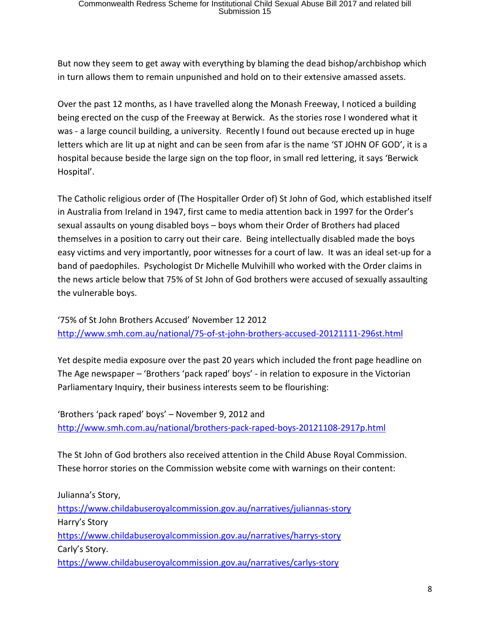But now they seem to get away with everything by blaming the dead bishop/archbishop which in turn allows them to remain unpunished and hold on to their extensive amassed assets.

Over the past 12 months, as I have travelled along the Monash Freeway, I noticed a building being erected on the cusp of the Freeway at Berwick. As the stories rose I wondered what it was - a large council building, a university. Recently I found out because erected up in huge letters which are lit up at night and can be seen from afar is the name 'ST JOHN OF GOD', it is a hospital because beside the large sign on the top floor, in small red lettering, it says 'Berwick Hospital'.

The Catholic religious order of (The Hospitaller Order of) St John of God, which established itself in Australia from Ireland in 1947, first came to media attention back in 1997 for the Order's sexual assaults on young disabled boys – boys whom their Order of Brothers had placed themselves in a position to carry out their care. Being intellectually disabled made the boys easy victims and very importantly, poor witnesses for a court of law. It was an ideal set-up for a band of paedophiles. Psychologist Dr Michelle Mulvihill who worked with the Order claims in the news article below that 75% of St John of God brothers were accused of sexually assaulting the vulnerable boys.

'75% of St John Brothers Accused' November 12 2012 <http://www.smh.com.au/national/75-of-st-john-brothers-accused-20121111-296st.html>

Yet despite media exposure over the past 20 years which included the front page headline on The Age newspaper – 'Brothers 'pack raped' boys' - in relation to exposure in the Victorian Parliamentary Inquiry, their business interests seem to be flourishing:

'Brothers 'pack raped' boys' – November 9, 2012 and <http://www.smh.com.au/national/brothers-pack-raped-boys-20121108-2917p.html>

The St John of God brothers also received attention in the Child Abuse Royal Commission. These horror stories on the Commission website come with warnings on their content:

Julianna's Story, <https://www.childabuseroyalcommission.gov.au/narratives/juliannas-story> Harry's Story <https://www.childabuseroyalcommission.gov.au/narratives/harrys-story> Carly's Story. <https://www.childabuseroyalcommission.gov.au/narratives/carlys-story>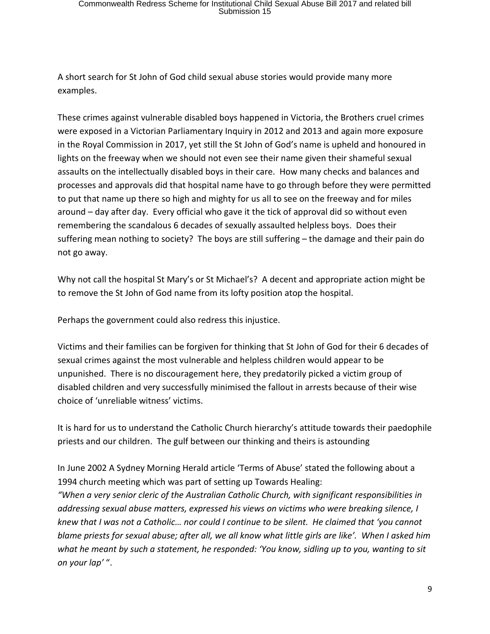A short search for St John of God child sexual abuse stories would provide many more examples.

These crimes against vulnerable disabled boys happened in Victoria, the Brothers cruel crimes were exposed in a Victorian Parliamentary Inquiry in 2012 and 2013 and again more exposure in the Royal Commission in 2017, yet still the St John of God's name is upheld and honoured in lights on the freeway when we should not even see their name given their shameful sexual assaults on the intellectually disabled boys in their care. How many checks and balances and processes and approvals did that hospital name have to go through before they were permitted to put that name up there so high and mighty for us all to see on the freeway and for miles around – day after day. Every official who gave it the tick of approval did so without even remembering the scandalous 6 decades of sexually assaulted helpless boys. Does their suffering mean nothing to society? The boys are still suffering – the damage and their pain do not go away.

Why not call the hospital St Mary's or St Michael's? A decent and appropriate action might be to remove the St John of God name from its lofty position atop the hospital.

Perhaps the government could also redress this injustice.

Victims and their families can be forgiven for thinking that St John of God for their 6 decades of sexual crimes against the most vulnerable and helpless children would appear to be unpunished. There is no discouragement here, they predatorily picked a victim group of disabled children and very successfully minimised the fallout in arrests because of their wise choice of 'unreliable witness' victims.

It is hard for us to understand the Catholic Church hierarchy's attitude towards their paedophile priests and our children. The gulf between our thinking and theirs is astounding

In June 2002 A Sydney Morning Herald article 'Terms of Abuse' stated the following about a 1994 church meeting which was part of setting up Towards Healing:

*"When a very senior cleric of the Australian Catholic Church, with significant responsibilities in addressing sexual abuse matters, expressed his views on victims who were breaking silence, I knew that I was not a Catholic… nor could I continue to be silent. He claimed that 'you cannot blame priests for sexual abuse; after all, we all know what little girls are like'. When I asked him what he meant by such a statement, he responded: 'You know, sidling up to you, wanting to sit on your lap'* ".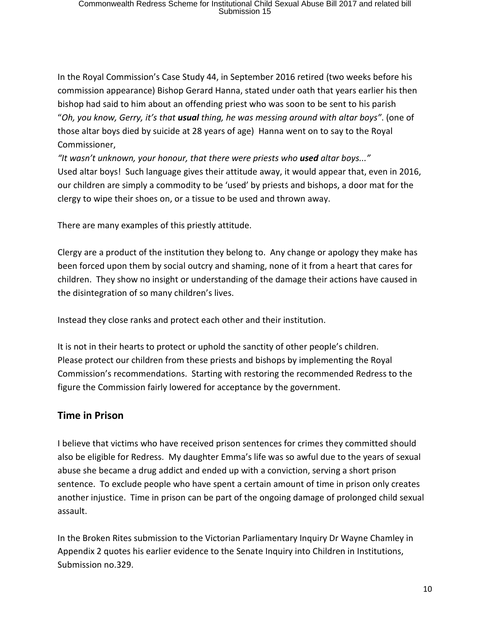In the Royal Commission's Case Study 44, in September 2016 retired (two weeks before his commission appearance) Bishop Gerard Hanna, stated under oath that years earlier his then bishop had said to him about an offending priest who was soon to be sent to his parish "*Oh, you know, Gerry, it's that usual thing, he was messing around with altar boys"*. (one of those altar boys died by suicide at 28 years of age) Hanna went on to say to the Royal Commissioner,

*"It wasn't unknown, your honour, that there were priests who used altar boys..."* Used altar boys! Such language gives their attitude away, it would appear that, even in 2016, our children are simply a commodity to be 'used' by priests and bishops, a door mat for the clergy to wipe their shoes on, or a tissue to be used and thrown away.

There are many examples of this priestly attitude.

Clergy are a product of the institution they belong to. Any change or apology they make has been forced upon them by social outcry and shaming, none of it from a heart that cares for children. They show no insight or understanding of the damage their actions have caused in the disintegration of so many children's lives.

Instead they close ranks and protect each other and their institution.

It is not in their hearts to protect or uphold the sanctity of other people's children. Please protect our children from these priests and bishops by implementing the Royal Commission's recommendations. Starting with restoring the recommended Redress to the figure the Commission fairly lowered for acceptance by the government.

#### **Time in Prison**

I believe that victims who have received prison sentences for crimes they committed should also be eligible for Redress. My daughter Emma's life was so awful due to the years of sexual abuse she became a drug addict and ended up with a conviction, serving a short prison sentence. To exclude people who have spent a certain amount of time in prison only creates another injustice. Time in prison can be part of the ongoing damage of prolonged child sexual assault.

In the Broken Rites submission to the Victorian Parliamentary Inquiry Dr Wayne Chamley in Appendix 2 quotes his earlier evidence to the Senate Inquiry into Children in Institutions, Submission no.329.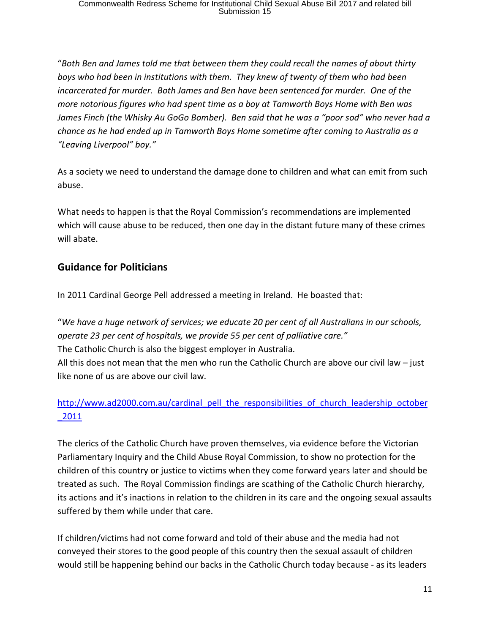"*Both Ben and James told me that between them they could recall the names of about thirty boys who had been in institutions with them. They knew of twenty of them who had been incarcerated for murder. Both James and Ben have been sentenced for murder. One of the more notorious figures who had spent time as a boy at Tamworth Boys Home with Ben was James Finch (the Whisky Au GoGo Bomber). Ben said that he was a "poor sod" who never had a chance as he had ended up in Tamworth Boys Home sometime after coming to Australia as a "Leaving Liverpool" boy."*

As a society we need to understand the damage done to children and what can emit from such abuse.

What needs to happen is that the Royal Commission's recommendations are implemented which will cause abuse to be reduced, then one day in the distant future many of these crimes will abate.

## **Guidance for Politicians**

In 2011 Cardinal George Pell addressed a meeting in Ireland. He boasted that:

"*We have a huge network of services; we educate 20 per cent of all Australians in our schools, operate 23 per cent of hospitals, we provide 55 per cent of palliative care."*

The Catholic Church is also the biggest employer in Australia.

All this does not mean that the men who run the Catholic Church are above our civil law  $-$  just like none of us are above our civil law.

## [http://www.ad2000.com.au/cardinal\\_pell\\_the\\_responsibilities\\_of\\_church\\_leadership\\_october](http://www.ad2000.com.au/cardinal_pell_the_responsibilities_of_church_leadership_october_2011) [\\_2011](http://www.ad2000.com.au/cardinal_pell_the_responsibilities_of_church_leadership_october_2011)

The clerics of the Catholic Church have proven themselves, via evidence before the Victorian Parliamentary Inquiry and the Child Abuse Royal Commission, to show no protection for the children of this country or justice to victims when they come forward years later and should be treated as such. The Royal Commission findings are scathing of the Catholic Church hierarchy, its actions and it's inactions in relation to the children in its care and the ongoing sexual assaults suffered by them while under that care.

If children/victims had not come forward and told of their abuse and the media had not conveyed their stores to the good people of this country then the sexual assault of children would still be happening behind our backs in the Catholic Church today because - as its leaders